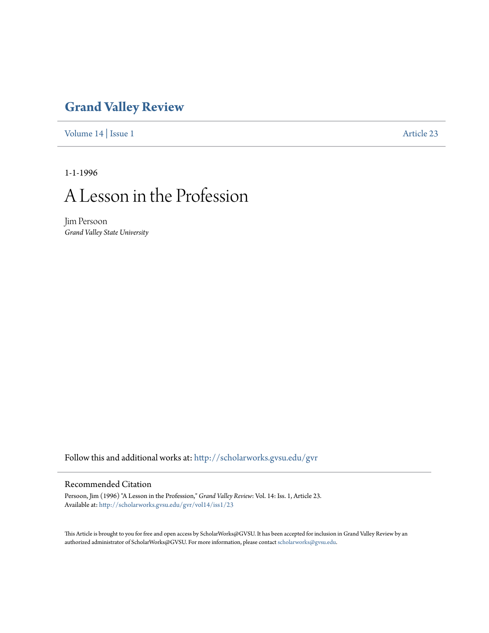## **[Grand Valley Review](http://scholarworks.gvsu.edu/gvr?utm_source=scholarworks.gvsu.edu%2Fgvr%2Fvol14%2Fiss1%2F23&utm_medium=PDF&utm_campaign=PDFCoverPages)**

[Volume 14](http://scholarworks.gvsu.edu/gvr/vol14?utm_source=scholarworks.gvsu.edu%2Fgvr%2Fvol14%2Fiss1%2F23&utm_medium=PDF&utm_campaign=PDFCoverPages) | [Issue 1](http://scholarworks.gvsu.edu/gvr/vol14/iss1?utm_source=scholarworks.gvsu.edu%2Fgvr%2Fvol14%2Fiss1%2F23&utm_medium=PDF&utm_campaign=PDFCoverPages) [Article 23](http://scholarworks.gvsu.edu/gvr/vol14/iss1/23?utm_source=scholarworks.gvsu.edu%2Fgvr%2Fvol14%2Fiss1%2F23&utm_medium=PDF&utm_campaign=PDFCoverPages)

1-1-1996

# A Lesson in the Profession

Jim Persoon *Grand Valley State University*

Follow this and additional works at: [http://scholarworks.gvsu.edu/gvr](http://scholarworks.gvsu.edu/gvr?utm_source=scholarworks.gvsu.edu%2Fgvr%2Fvol14%2Fiss1%2F23&utm_medium=PDF&utm_campaign=PDFCoverPages)

#### Recommended Citation

Persoon, Jim (1996) "A Lesson in the Profession," *Grand Valley Review*: Vol. 14: Iss. 1, Article 23. Available at: [http://scholarworks.gvsu.edu/gvr/vol14/iss1/23](http://scholarworks.gvsu.edu/gvr/vol14/iss1/23?utm_source=scholarworks.gvsu.edu%2Fgvr%2Fvol14%2Fiss1%2F23&utm_medium=PDF&utm_campaign=PDFCoverPages)

This Article is brought to you for free and open access by ScholarWorks@GVSU. It has been accepted for inclusion in Grand Valley Review by an authorized administrator of ScholarWorks@GVSU. For more information, please contact [scholarworks@gvsu.edu.](mailto:scholarworks@gvsu.edu)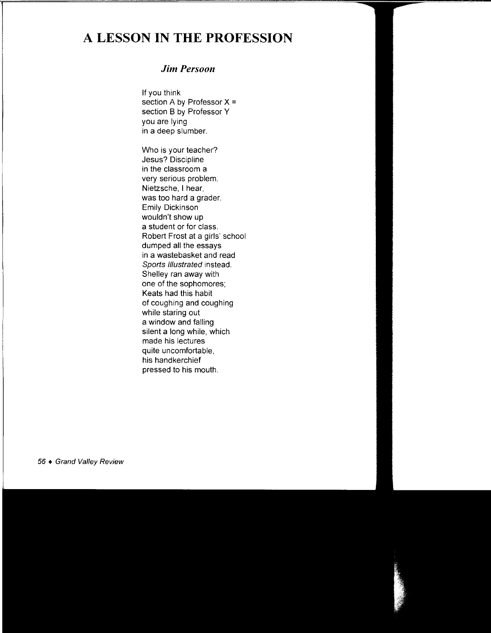## **A LESSON IN THE PROFESSION**

### *Jim Persoon*

If you think section A by Professor X = section B by Professor Y you are lying in a deep slumber.

Who is your teacher? Jesus? Discipline in the classroom a very serious problem. Nietzsche, I hear, was too hard a grader. Emily Dickinson wouldn't show up a student or for class. Robert Frost at a girls' school dumped all the essays in a wastebasket and read Sports Illustrated instead. Shelley ran away with one of the sophomores; Keats had this habit of coughing and coughing while staring out a window and falling silent a long while, which made his lectures quite uncomfortable, his handkerchief pressed to his mouth.